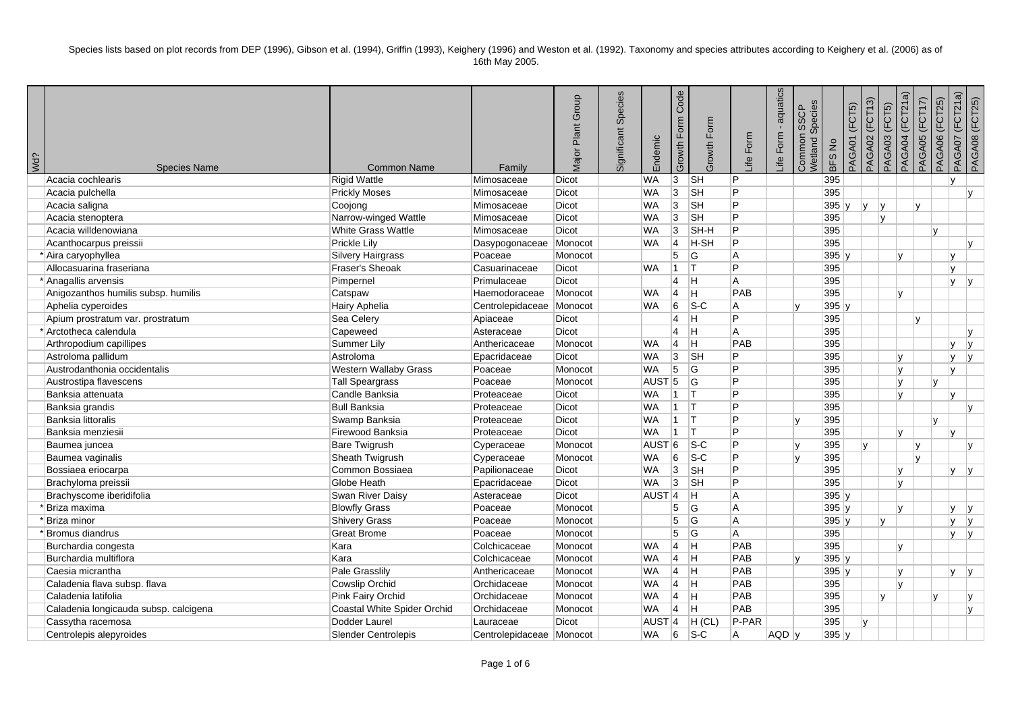| Wd? | <b>Species Name</b>                   | <b>Common Name</b>           | Family                   | Major Plant Group | Significant Species | Endemic             | Code<br>Growth Form | Growth Form                               | life Form | aquatics<br>Form<br>Life | Species<br><b>SSCP</b><br>Common<br>Netland | <b>BFS No</b> | PAGA01 (FCT5) | PAGA02 (FCT13) | (FCT5)<br>PAGA03 | PAGA04 (FCT21a) | PAGA06 (FCT25)<br>PAGA05 (FCT17) | PAGA07 (FCT21a) | PAGA08 (FCT25) |
|-----|---------------------------------------|------------------------------|--------------------------|-------------------|---------------------|---------------------|---------------------|-------------------------------------------|-----------|--------------------------|---------------------------------------------|---------------|---------------|----------------|------------------|-----------------|----------------------------------|-----------------|----------------|
|     | Acacia cochlearis                     | <b>Rigid Wattle</b>          | Mimosaceae               | <b>Dicot</b>      |                     | <b>WA</b>           | 3                   | $\overline{\mathsf{S}}$ H                 | P         |                          |                                             | 395           |               |                |                  |                 |                                  | v               |                |
|     | Acacia pulchella                      | <b>Prickly Moses</b>         | Mimosaceae               | <b>Dicot</b>      |                     | <b>WA</b>           | 3                   | <b>SH</b>                                 | P         |                          |                                             | 395           |               |                |                  |                 |                                  |                 | $\mathbf{v}$   |
|     | Acacia saligna                        | Coojong                      | Mimosaceae               | Dicot             |                     | <b>WA</b>           | 3                   | $\overline{\mathsf{S}}$ H                 | P         |                          |                                             | 395y          | v             | I٧             |                  | v               |                                  |                 |                |
|     | Acacia stenoptera                     | Narrow-winged Wattle         | Mimosaceae               | Dicot             |                     | <b>WA</b>           | $\overline{3}$      | $\overline{\mathsf{S}}$ H                 | P         |                          |                                             | 395           |               |                | V                |                 |                                  |                 |                |
|     | Acacia willdenowiana                  | <b>White Grass Wattle</b>    | Mimosaceae               | <b>Dicot</b>      |                     | <b>WA</b>           | 3                   | SH-H                                      | P         |                          |                                             | 395           |               |                |                  |                 | $\mathsf{v}$                     |                 |                |
|     | Acanthocarpus preissii                | Prickle Lily                 | Dasypogonaceae           | Monocot           |                     | <b>WA</b>           | 14                  | <b>H-SH</b>                               | P         |                          |                                             | 395           |               |                |                  |                 |                                  |                 | lv.            |
|     | * Aira caryophyllea                   | <b>Silvery Hairgrass</b>     | Poaceae                  | Monocot           |                     |                     | 5                   | $\overline{G}$                            | A         |                          |                                             | 395 y         |               |                |                  | v               |                                  | v               |                |
|     | Allocasuarina fraseriana              | Fraser's Sheoak              | Casuarinaceae            | <b>Dicot</b>      |                     | <b>WA</b>           | 11.                 | T                                         | P         |                          |                                             | 395           |               |                |                  |                 |                                  | v               |                |
|     | * Anagallis arvensis                  | Pimpernel                    | Primulaceae              | <b>Dicot</b>      |                     |                     | $\overline{4}$      | Iн.                                       | A         |                          |                                             | 395           |               |                |                  |                 |                                  | v               |                |
|     | Anigozanthos humilis subsp. humilis   | Catspaw                      | Haemodoraceae            | Monocot           |                     | <b>WA</b>           | 4                   | ΙH                                        | PAB       |                          |                                             | 395           |               |                | v                |                 |                                  |                 |                |
|     | Aphelia cyperoides                    | Hairy Aphelia                | Centrolepidaceae         | Monocot           |                     | <b>WA</b>           | 6                   | $\overline{\mathsf{S}\text{-}\mathsf{C}}$ | A         |                          | $\mathbf{v}$                                | 395 y         |               |                |                  |                 |                                  |                 |                |
|     | Apium prostratum var. prostratum      | Sea Celery                   | Apiaceae                 | Dicot             |                     |                     | $\overline{4}$      | H.                                        | P         |                          |                                             | 395           |               |                |                  | v               |                                  |                 |                |
|     | *Arctotheca calendula                 | Capeweed                     | Asteraceae               | Dicot             |                     |                     | $\overline{4}$      | H                                         | A         |                          |                                             | 395           |               |                |                  |                 |                                  |                 | v              |
|     | Arthropodium capillipes               | Summer Lily                  | Anthericaceae            | Monocot           |                     | <b>WA</b>           | $\overline{4}$      | H                                         | PAB       |                          |                                             | 395           |               |                |                  |                 |                                  | v               | Iv.            |
|     | Astroloma pallidum                    | Astroloma                    | Epacridaceae             | Dicot             |                     | <b>WA</b>           | 3                   | $\overline{\mathsf{S}}$ H                 | P         |                          |                                             | 395           |               |                | v                |                 |                                  | v               | $\mathsf{v}$   |
|     | Austrodanthonia occidentalis          | <b>Western Wallaby Grass</b> | Poaceae                  | Monocot           |                     | <b>WA</b>           | $\overline{5}$      | G                                         | P         |                          |                                             | 395           |               |                | v                |                 |                                  | v               |                |
|     | Austrostipa flavescens                | Tall Speargrass              | Poaceae                  | Monocot           |                     | AUST <sub>5</sub>   |                     | G                                         | P         |                          |                                             | 395           |               |                |                  | v               | v                                |                 |                |
|     | Banksia attenuata                     | Candle Banksia               | Proteaceae               | Dicot             |                     | <b>WA</b>           | $\mathbf{1}$        | $ \mathsf{T} $                            | P         |                          |                                             | 395           |               |                |                  | V               |                                  | $\mathsf{v}$    |                |
|     | Banksia grandis                       | <b>Bull Banksia</b>          | Proteaceae               | Dicot             |                     | <b>WA</b>           | $\vert$ 1           | IT.                                       | P         |                          |                                             | 395           |               |                |                  |                 |                                  |                 | lv.            |
|     | Banksia littoralis                    | Swamp Banksia                | Proteaceae               | Dicot             |                     | <b>WA</b>           | $1$ T               |                                           | P         |                          |                                             | 395           |               |                |                  |                 | v                                |                 |                |
|     | Banksia menziesii                     | Firewood Banksia             | Proteaceae               | Dicot             |                     | <b>WA</b>           | 11.                 | T                                         | P         |                          |                                             | 395           |               |                |                  | v               |                                  | v               |                |
|     | Baumea juncea                         | <b>Bare Twigrush</b>         | Cyperaceae               | Monocot           |                     | <b>AUST</b>         | 6                   | $ S-C $                                   | P         |                          | lv.                                         | 395           | lv.           |                |                  | v               |                                  |                 | lv.            |
|     | Baumea vaginalis                      | Sheath Twigrush              | Cyperaceae               | Monocot           |                     | <b>WA</b>           | 6                   | $s-c$                                     | P         |                          | $\mathbf{v}$                                | 395           |               |                |                  | lv.             |                                  |                 |                |
|     | Bossiaea eriocarpa                    | Common Bossiaea              | Papilionaceae            | Dicot             |                     | <b>WA</b>           | 3                   | $\overline{\mathsf{S}}$ H                 | P         |                          |                                             | 395           |               |                |                  | v               |                                  | V.              | V              |
|     | Brachyloma preissii                   | Globe Heath                  | Epacridaceae             | Dicot             |                     | <b>WA</b>           | 3                   | SH                                        | P         |                          |                                             | 395           |               |                |                  | V               |                                  |                 |                |
|     | Brachyscome iberidifolia              | Swan River Daisy             | Asteraceae               | Dicot             |                     | $AUST$ <sup>4</sup> |                     | ÌН,                                       | $\sf A$   |                          |                                             | 395 y         |               |                |                  |                 |                                  |                 |                |
|     | * Briza maxima                        | <b>Blowfly Grass</b>         | Poaceae                  | Monocot           |                     |                     | 5                   | <b>G</b>                                  | A         |                          |                                             | 395 y         |               |                | v                |                 |                                  | v               | Iv.            |
|     | 'Briza minor                          | <b>Shivery Grass</b>         | Poaceae                  | Monocot           |                     |                     | 5                   | ۱G                                        | Α         |                          |                                             | 395 y         |               |                | V                |                 |                                  | V.              | IV.            |
|     | Bromus diandrus                       | <b>Great Brome</b>           | Poaceae                  | Monocot           |                     |                     | 5                   | G                                         | Α         |                          |                                             | 395           |               |                |                  |                 |                                  | v               | 1v             |
|     | Burchardia congesta                   | Kara                         | Colchicaceae             | Monocot           |                     | <b>WA</b>           | $\overline{4}$      | ÌН,                                       | PAB       |                          |                                             | 395           |               |                | v                |                 |                                  |                 |                |
|     | Burchardia multiflora                 | Kara                         | Colchicaceae             | Monocot           |                     | <b>WA</b>           | 4                   | Iн.                                       | PAB       |                          | $\mathbf{v}$                                | 395 y         |               |                |                  |                 |                                  |                 |                |
|     | Caesia micrantha                      | Pale Grasslily               | Anthericaceae            | Monocot           |                     | <b>WA</b>           | $\overline{4}$      | $\overline{\mathsf{H}}$                   | PAB       |                          |                                             | 395 y         |               |                | v                |                 |                                  | v               | V              |
|     | Caladenia flava subsp. flava          | Cowslip Orchid               | Orchidaceae              | Monocot           |                     | <b>WA</b>           | $\overline{4}$      | ÌН,                                       | PAB       |                          |                                             | 395           |               |                | v                |                 |                                  |                 |                |
|     | Caladenia latifolia                   | Pink Fairy Orchid            | Orchidaceae              | Monocot           |                     | <b>WA</b>           | $\vert$ 4           | lн.                                       | PAB       |                          |                                             | 395           |               |                | v                |                 | v                                |                 | lv.            |
|     | Caladenia longicauda subsp. calcigena | Coastal White Spider Orchid  | Orchidaceae              | Monocot           |                     | <b>WA</b>           | $\overline{4}$      | İΗ                                        | PAB       |                          |                                             | 395           |               |                |                  |                 |                                  |                 | lv.            |
|     | Cassytha racemosa                     | Dodder Laurel                | Lauraceae                | Dicot             |                     | <b>AUST</b>         | 4                   | $H$ (CL)                                  | P-PAR     |                          |                                             | 395           | lv.           |                |                  |                 |                                  |                 |                |
|     | Centrolepis alepyroides               | <b>Slender Centrolepis</b>   | Centrolepidaceae Monocot |                   |                     | <b>WA</b>           | 6                   | $ S-C $                                   | A         | AQD y                    |                                             | 395y          |               |                |                  |                 |                                  |                 |                |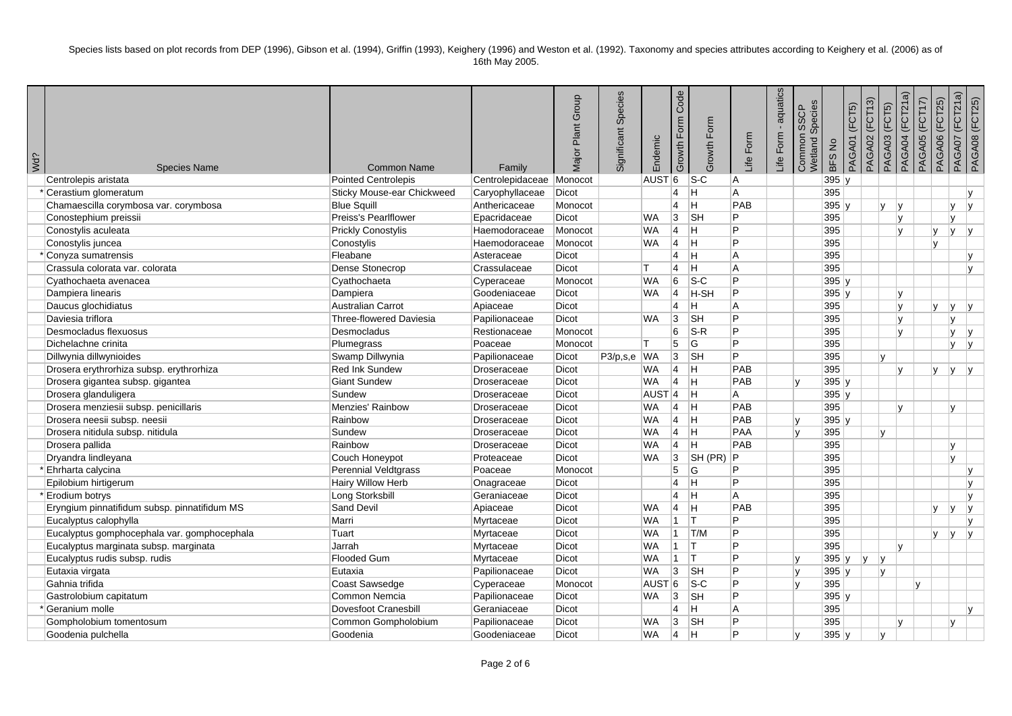| Wd? | <b>Species Name</b>                          | <b>Common Name</b>          | Family                   | Plant Group<br>Major | Significant Species | Endemic           | Code<br>Growth Form | Growth Form               | Life Form | aquatics<br>Form<br>Life | Common SSCP<br>Wetland Species | <b>BFS No</b> | PAGA01 (FCT5) | PAGA02 (FCT13) | PAGA04 (FCT21a)<br>PAGA03 (FCT5) | PAGA05 (FCT17) | PAGA06 (FCT25) | PAGA07 (FCT21a) | PAGA08 (FCT25) |
|-----|----------------------------------------------|-----------------------------|--------------------------|----------------------|---------------------|-------------------|---------------------|---------------------------|-----------|--------------------------|--------------------------------|---------------|---------------|----------------|----------------------------------|----------------|----------------|-----------------|----------------|
|     | Centrolepis aristata                         | <b>Pointed Centrolepis</b>  | Centrolepidaceae Monocot |                      |                     | AUST <sup>6</sup> |                     | $S-C$                     | ΙA.       |                          |                                | 395y          |               |                |                                  |                |                |                 |                |
|     | * Cerastium glomeratum                       | Sticky Mouse-ear Chickweed  | Caryophyllaceae          | Dicot                |                     |                   | $\overline{4}$      | lH.                       | l A       |                          |                                | 395           |               |                |                                  |                |                |                 | $\mathbf{v}$   |
|     | Chamaescilla corymbosa var. corymbosa        | <b>Blue Squill</b>          | Anthericaceae            | Monocot              |                     |                   | $\overline{4}$      | lн.                       | PAB       |                          |                                | $395$ y       |               | v              | İγ.                              |                |                | V               | İν.            |
|     | Conostephium preissii                        | Preiss's Pearlflower        | Epacridaceae             | Dicot                |                     | <b>WA</b>         | $ 3\rangle$         | <b>SH</b>                 | P         |                          |                                | 395           |               |                | lv.                              |                |                | $\mathsf{v}$    |                |
|     | Conostylis aculeata                          | <b>Prickly Conostylis</b>   | Haemodoraceae            | Monocot              |                     | <b>WA</b>         | Ι4−                 | Iн.                       | Þ         |                          |                                | 395           |               |                | lv.                              |                | V              | lv.             | y              |
|     | Conostylis juncea                            | Conostylis                  | Haemodoraceae            | Monocot              |                     | <b>WA</b>         | <b>4</b>            | ΙH.                       | P         |                          |                                | 395           |               |                |                                  |                | V              |                 |                |
|     | * Conyza sumatrensis                         | Fleabane                    | Asteraceae               | Dicot                |                     |                   | $\vert 4 \vert$     | $\overline{\mathsf{H}}$   | l A       |                          |                                | 395           |               |                |                                  |                |                |                 | ly.            |
|     | Crassula colorata var. colorata              | Dense Stonecrop             | Crassulaceae             | Dicot                |                     | IT.               | $\overline{4}$      | H                         | l A       |                          |                                | 395           |               |                |                                  |                |                |                 | <b>y</b>       |
|     | Cyathochaeta avenacea                        | Cyathochaeta                | Cyperaceae               | Monocot              |                     | <b>WA</b>         | 6                   | $s-c$                     | P         |                          |                                | $395$ y       |               |                |                                  |                |                |                 |                |
|     | Dampiera linearis                            | Dampiera                    | Goodeniaceae             | Dicot                |                     | <b>WA</b>         | 14                  | H-SH                      | IP.       |                          |                                | 395y          |               |                | <b>y</b>                         |                |                |                 |                |
|     | Daucus glochidiatus                          | Australian Carrot           | Apiaceae                 | Dicot                |                     |                   | $\overline{4}$      | H                         | A         |                          |                                | 395           |               |                | ly.                              |                | V.             | ly.             | ly.            |
|     | Daviesia triflora                            | Three-flowered Daviesia     | Papilionaceae            | Dicot                |                     | <b>WA</b>         | 3                   | <b>SH</b>                 | Þ         |                          |                                | 395           |               |                | lv.                              |                |                | <b>V</b>        |                |
|     | Desmocladus flexuosus                        | Desmocladus                 | Restionaceae             | Monocot              |                     |                   | 6                   | $S-R$                     | P         |                          |                                | 395           |               |                | v                                |                |                | lv.             | lv.            |
|     | Dichelachne crinita                          | Plumegrass                  | Poaceae                  | Monocot              |                     | lT.               | 5                   | G                         | <b>D</b>  |                          |                                | 395           |               |                |                                  |                |                | <b>V</b>        | y              |
|     | Dillwynia dillwynioides                      | Swamp Dillwynia             | Papilionaceae            | Dicot                | P3/p,s,e WA         |                   | 3                   | <b>SH</b>                 | +p⊤       |                          |                                | 395           |               | $\mathsf{v}$   |                                  |                |                |                 |                |
|     | Drosera erythrorhiza subsp. erythrorhiza     | <b>Red Ink Sundew</b>       | Droseraceae              | Dicot                |                     | <b>WA</b>         | $\vert 4 \vert$     | lн.                       | PAB       |                          |                                | 395           |               |                | v                                |                | V              | lv.             | lv.            |
|     | Drosera gigantea subsp. gigantea             | <b>Giant Sundew</b>         | Droseraceae              | Dicot                |                     | <b>WA</b>         | $ 4\rangle$         | Iн.                       | PAB       |                          | Iv.                            | $395$ y       |               |                |                                  |                |                |                 |                |
|     | Drosera glanduligera                         | Sundew                      | Droseraceae              | Dicot                |                     | AUST <sup>4</sup> |                     | Iн.                       | l A       |                          |                                | 395y          |               |                |                                  |                |                |                 |                |
|     | Drosera menziesii subsp. penicillaris        | Menzies' Rainbow            | Droseraceae              | Dicot                |                     | <b>WA</b>         | 4                   | lн.                       | PAB       |                          |                                | 395           |               |                | $\mathsf{v}$                     |                |                | lv.             |                |
|     | Drosera neesii subsp. neesii                 | Rainbow                     | Droseraceae              | Dicot                |                     | <b>WA</b>         | $\vert 4 \vert$     | H                         | PAB       |                          | lv.                            | $395$ y       |               |                |                                  |                |                |                 |                |
|     | Drosera nitidula subsp. nitidula             | Sundew                      | Droseraceae              | Dicot                |                     | <b>WA</b>         | $ 4\rangle$         | $\overline{H}$            | PAA       |                          | ۱v                             | 395           |               | v              |                                  |                |                |                 |                |
|     | Drosera pallida                              | Rainbow                     | Droseraceae              | Dicot                |                     | <b>WA</b>         | <u> 4</u>           | Iн.                       | PAB       |                          |                                | 395           |               |                |                                  |                |                | V               |                |
|     | Dryandra lindleyana                          | Couch Honeypot              | Proteaceae               | Dicot                |                     | <b>WA</b>         | 3                   | SH(PR)                    | Þ         |                          |                                | 395           |               |                |                                  |                |                | v               |                |
|     | * Ehrharta calycina                          | Perennial Veldtgrass        | Poaceae                  | Monocot              |                     |                   | 5                   | ۱G                        | P         |                          |                                | 395           |               |                |                                  |                |                |                 | IV.            |
|     | Epilobium hirtigerum                         | <b>Hairy Willow Herb</b>    | Onagraceae               | Dicot                |                     |                   | $\overline{4}$      | lн.                       | P         |                          |                                | 395           |               |                |                                  |                |                |                 | IV.            |
|     | *Erodium botrys                              | Long Storksbill             | Geraniaceae              | Dicot                |                     |                   | $\overline{4}$      | $\overline{H}$            | l A       |                          |                                | 395           |               |                |                                  |                |                |                 | lv.            |
|     | Eryngium pinnatifidum subsp. pinnatifidum MS | Sand Devil                  | Apiaceae                 | Dicot                |                     | <b>WA</b>         | $\vert 4 \vert$     | <b>H</b>                  | PAB       |                          |                                | 395           |               |                |                                  |                | V.             | lv.             | lv.            |
|     | Eucalyptus calophylla                        | Marri                       | Myrtaceae                | Dicot                |                     | <b>WA</b>         | $\overline{1}$      | lT.                       | P         |                          |                                | 395           |               |                |                                  |                |                |                 | IV.            |
|     | Eucalyptus gomphocephala var. gomphocephala  | Tuart                       | Myrtaceae                | Dicot                |                     | <b>WA</b>         | $\overline{1}$      | T/M                       | P         |                          |                                | 395           |               |                |                                  |                | V.             | lv.             | lv.            |
|     | Eucalyptus marginata subsp. marginata        | Jarrah                      | Myrtaceae                | Dicot                |                     | <b>WA</b>         | $\overline{1}$      | lT.                       | Þ         |                          |                                | 395           |               |                | lv.                              |                |                |                 |                |
|     | Eucalyptus rudis subsp. rudis                | Flooded Gum                 | Myrtaceae                | Dicot                |                     | <b>WA</b>         | 11.                 | Iт.                       | Þ         |                          | l v                            | $395$ y       | V             | lv.            |                                  |                |                |                 |                |
|     | Eutaxia virgata                              | Eutaxia                     | Papilionaceae            | Dicot                |                     | <b>WA</b>         | 3                   | <b>SH</b>                 | P         |                          | ly.                            | 395y          |               | v              |                                  |                |                |                 |                |
|     | Gahnia trifida                               | Coast Sawsedge              | Cyperaceae               | Monocot              |                     | AUST <sup>6</sup> |                     | $ S-C $                   | P         |                          | ۱v                             | 395           |               |                |                                  | I٧             |                |                 |                |
|     | Gastrolobium capitatum                       | Common Nemcia               | Papilionaceae            | Dicot                |                     | <b>WA</b>         | 3                   | ∣sн                       | P         |                          |                                | 395y          |               |                |                                  |                |                |                 |                |
|     | Geranium molle                               | <b>Dovesfoot Cranesbill</b> | Geraniaceae              | Dicot                |                     |                   | $\overline{4}$      | H                         | A         |                          |                                | 395           |               |                |                                  |                |                |                 | v              |
|     | Gompholobium tomentosum                      | Common Gompholobium         | Papilionaceae            | Dicot                |                     | WA                | 3                   | $\overline{\mathsf{S}}$ H | Þ         |                          |                                | 395           |               |                | v                                |                |                | v               |                |
|     | Goodenia pulchella                           | Goodenia                    | Goodeniaceae             | Dicot                |                     | <b>WA</b>         | $\vert 4 \vert$     | lн.                       | D         |                          | I۷                             | 395y          |               | $\mathsf{v}$   |                                  |                |                |                 |                |
|     |                                              |                             |                          |                      |                     |                   |                     |                           |           |                          |                                |               |               |                |                                  |                |                |                 |                |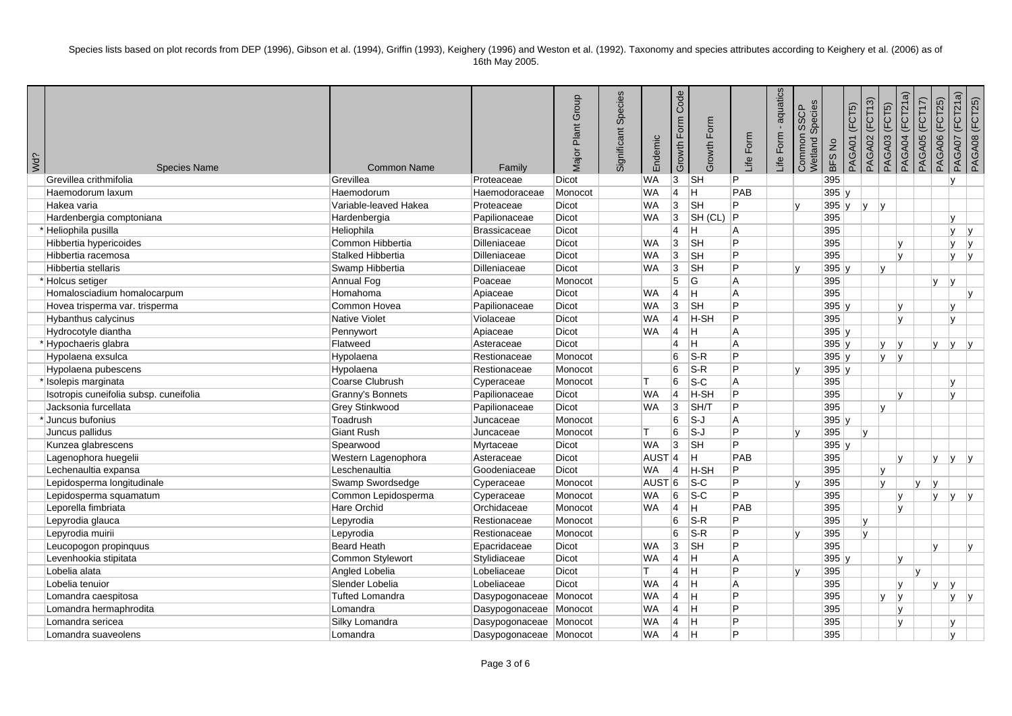| Wd? | <b>Species Name</b>                    | <b>Common Name</b>     | Family                 | Plant Group<br>Major | Significant Species | Endemic           | Code<br>Growth Form | Growth Form                | Life Form | aquatics<br>Form<br>Life | Common SSCP<br>Wetland Species | <b>BFS No</b> | PAGA01 (FCT5) | (FCT13)<br>PAGA02 | PAGA03 (FCT5)  | PAGA04 (FCT21a) | PAGA05 (FCT17) | PAGA07 (FCT21a)<br>PAGA06 (FCT25) | PAGA08 (FCT25) |
|-----|----------------------------------------|------------------------|------------------------|----------------------|---------------------|-------------------|---------------------|----------------------------|-----------|--------------------------|--------------------------------|---------------|---------------|-------------------|----------------|-----------------|----------------|-----------------------------------|----------------|
|     | Grevillea crithmifolia                 | Grevillea              | Proteaceae             | <b>Dicot</b>         |                     | <b>WA</b>         | $ 3\rangle$         | <b>SH</b>                  | IP.       |                          |                                | 395           |               |                   |                |                 |                | <b>v</b>                          |                |
|     | Haemodorum laxum                       | Haemodorum             | Haemodoraceae          | Monocot              |                     | <b>WA</b>         | 14                  | lH.                        | PAB       |                          |                                | 395y          |               |                   |                |                 |                |                                   |                |
|     | Hakea varia                            | Variable-leaved Hakea  | Proteaceae             | Dicot                |                     | <b>WA</b>         | 3                   | <b>SH</b>                  | P         |                          | lv                             | $395$ y       | y             | v                 |                |                 |                |                                   |                |
|     | Hardenbergia comptoniana               | Hardenbergia           | Papilionaceae          | Dicot                |                     | <b>WA</b>         | $ 3\rangle$         | SH (CL)                    | ∣P.       |                          |                                | 395           |               |                   |                |                 |                | v                                 |                |
|     | * Heliophila pusilla                   | Heliophila             | Brassicaceae           | <b>Dicot</b>         |                     |                   | $\overline{4}$      | lH.                        | l A       |                          |                                | 395           |               |                   |                |                 |                | ly.                               | V              |
|     | Hibbertia hypericoides                 | Common Hibbertia       | Dilleniaceae           | Dicot                |                     | <b>WA</b>         | 3                   | <b>SH</b>                  | P.        |                          |                                | 395           |               |                   |                | V               |                | Iv.                               | lv.            |
|     | Hibbertia racemosa                     | Stalked Hibbertia      | Dilleniaceae           | Dicot                |                     | <b>WA</b>         | $ 3\rangle$         | <b>SH</b>                  | P.        |                          |                                | 395           |               |                   | lv.            |                 |                | lv.                               | v              |
|     | Hibbertia stellaris                    | Swamp Hibbertia        | Dilleniaceae           | Dicot                |                     | <b>WA</b>         | 3                   | <b>SH</b>                  | P.        |                          | I٧                             | $395$ y       |               | v                 |                |                 |                |                                   |                |
|     | *Holcus setiger                        | Annual Fog             | Poaceae                | Monocot              |                     |                   | 5                   | G                          | l A       |                          |                                | 395           |               |                   |                |                 | <b>V</b>       | lv.                               |                |
|     | Homalosciadium homalocarpum            | Homahoma               | Apiaceae               | Dicot                |                     | <b>WA</b>         | $\vert 4 \vert$     | $\overline{\mathsf{H}}$    | l A       |                          |                                | 395           |               |                   |                |                 |                |                                   | v              |
|     | Hovea trisperma var. trisperma         | Common Hovea           | Papilionaceae          | Dicot                |                     | <b>WA</b>         | $ 3\rangle$         | <b>SH</b>                  | P.        |                          |                                | $395$ y       |               |                   | lv.            |                 |                | lv.                               |                |
|     | <b>Hybanthus calycinus</b>             | <b>Native Violet</b>   | Violaceae              | <b>Dicot</b>         |                     | <b>WA</b>         | 14                  | H-SH                       | Þ         |                          |                                | 395           |               |                   | lv.            |                 |                | lv.                               |                |
|     | Hydrocotyle diantha                    | Pennywort              | Apiaceae               | Dicot                |                     | <b>WA</b>         | 14                  | H                          | A         |                          |                                | 395y          |               |                   |                |                 |                |                                   |                |
|     | *Hypochaeris glabra                    | Flatweed               | Asteraceae             | Dicot                |                     |                   | $\vert 4 \vert$     | $\overline{H}$             | A         |                          |                                | $395$ y       |               |                   | <b>V</b><br> v |                 | <b>y</b>       | y                                 | V              |
|     | Hypolaena exsulca                      | Hypolaena              | Restionaceae           | Monocot              |                     |                   | 6                   | $S-R$                      | P.        |                          |                                | $395$ y       |               |                   | y y            |                 |                |                                   |                |
|     | Hypolaena pubescens                    | Hypolaena              | Restionaceae           | Monocot              |                     |                   | 6                   | $S-R$                      | P         |                          |                                | $395$ y       |               |                   |                |                 |                |                                   |                |
|     | * Isolepis marginata                   | Coarse Clubrush        | Cyperaceae             | Monocot              |                     | lΤ                | 6                   | $S-C$                      | A         |                          |                                | 395           |               |                   |                |                 |                | lv.                               |                |
|     | Isotropis cuneifolia subsp. cuneifolia | Granny's Bonnets       | Papilionaceae          | Dicot                |                     | <b>WA</b>         | $\vert$ 4           | H-SH                       | P         |                          |                                | 395           |               |                   | v              |                 |                | lv.                               |                |
|     | Jacksonia furcellata                   | Grey Stinkwood         | Papilionaceae          | Dicot                |                     | <b>WA</b>         | 3                   | SH/T                       | P         |                          |                                | 395           |               | $\mathbf{v}$      |                |                 |                |                                   |                |
|     | *Juncus bufonius                       | Toadrush               | Juncaceae              | Monocot              |                     |                   | 6                   | $S-J$                      | A         |                          |                                | 395y          |               |                   |                |                 |                |                                   |                |
|     | Juncus pallidus                        | <b>Giant Rush</b>      | Juncaceae              | Monocot              |                     | T.                | 6                   | $\overline{\mathsf{s}}$ -J | P.        |                          | lv                             | 395           |               | $\mathsf{v}$      |                |                 |                |                                   |                |
|     | Kunzea glabrescens                     | Spearwood              | Myrtaceae              | Dicot                |                     | <b>WA</b>         | 3                   | <b>SH</b>                  | P.        |                          |                                | $395$ y       |               |                   |                |                 |                |                                   |                |
|     | Lagenophora huegelii                   | Western Lagenophora    | Asteraceae             | Dicot                |                     | AUST <sup>4</sup> |                     | lн.                        | PAB       |                          |                                | 395           |               |                   | lv.            |                 | y.             | ly.                               | İν.            |
|     | Lechenaultia expansa                   | Leschenaultia          | Goodeniaceae           | Dicot                |                     | <b>WA</b>         | $\vert$ 4           | H-SH                       | P.        |                          |                                | 395           |               | v                 |                |                 |                |                                   |                |
|     | Lepidosperma longitudinale             | Swamp Swordsedge       | Cyperaceae             | Monocot              |                     | AUST <sup>6</sup> |                     | $ S-C $                    | P         |                          | lv                             | 395           |               | v                 |                | v               | V              |                                   |                |
|     | Lepidosperma squamatum                 | Common Lepidosperma    | Cyperaceae             | Monocot              |                     | <b>WA</b>         | 6                   | $S-C$                      | P         |                          |                                | 395           |               |                   | lv.            |                 |                | $y \mid y \mid y$                 |                |
|     | Leporella fimbriata                    | <b>Hare Orchid</b>     | Orchidaceae            | Monocot              |                     | <b>WA</b>         | $ 4\rangle$         | <b>H</b>                   | PAB       |                          |                                | 395           |               |                   | lv.            |                 |                |                                   |                |
|     | Lepyrodia glauca                       | Lepyrodia              | Restionaceae           | Monocot              |                     |                   | 6                   | $S-R$                      | P.        |                          |                                | 395           |               | v                 |                |                 |                |                                   |                |
|     | Lepyrodia muirii                       | Lepyrodia              | Restionaceae           | Monocot              |                     |                   | 6                   | $S-R$                      | P.        |                          | lv                             | 395           |               | v                 |                |                 |                |                                   |                |
|     | Leucopogon propinquus                  | <b>Beard Heath</b>     | Epacridaceae           | Dicot                |                     | <b>WA</b>         | 3                   | <b>SH</b>                  | P         |                          |                                | 395           |               |                   |                |                 | v              |                                   | IV.            |
|     | Levenhookia stipitata                  | Common Stylewort       | Stylidiaceae           | Dicot                |                     | <b>WA</b>         | $\vert 4 \vert$     | lH.                        | l A       |                          |                                | 395y          |               |                   | lv.            |                 |                |                                   |                |
|     | Lobelia alata                          | Angled Lobelia         | Lobeliaceae            | Dicot                |                     | T                 | $\overline{4}$      | ΙH.                        | P         |                          | lv                             | 395           |               |                   |                | Iv.             |                |                                   |                |
|     | Lobelia tenuior                        | Slender Lobelia        | Lobeliaceae            | Dicot                |                     | <b>WA</b>         | $\vert 4 \vert$     | lн.                        | l A       |                          |                                | 395           |               |                   | v              |                 | V              | lv.                               |                |
|     | Lomandra caespitosa                    | <b>Tufted Lomandra</b> | Dasypogonaceae Monocot |                      |                     | <b>WA</b>         | $\vert$ 4           | $\overline{H}$             | P.        |                          |                                | 395           |               | $\mathbf{v}$      | İγ.            |                 |                | v                                 | v              |
|     | Lomandra hermaphrodita                 | Lomandra               | Dasypogonaceae Monocot |                      |                     | <b>WA</b>         | $\vert 4 \vert$     | H                          | P         |                          |                                | 395           |               |                   |                | V               |                |                                   |                |
|     | Lomandra sericea                       | Silky Lomandra         | Dasypogonaceae Monocot |                      |                     | <b>WA</b>         | 4                   | lH.                        | P         |                          |                                | 395           |               |                   |                | V               |                | lv.                               |                |
|     | Lomandra suaveolens                    | Lomandra               | Dasypogonaceae Monocot |                      |                     | <b>WA</b>         | $ 4\rangle$         | lн                         | D         |                          |                                | 395           |               |                   |                |                 |                | $\mathsf{v}$                      |                |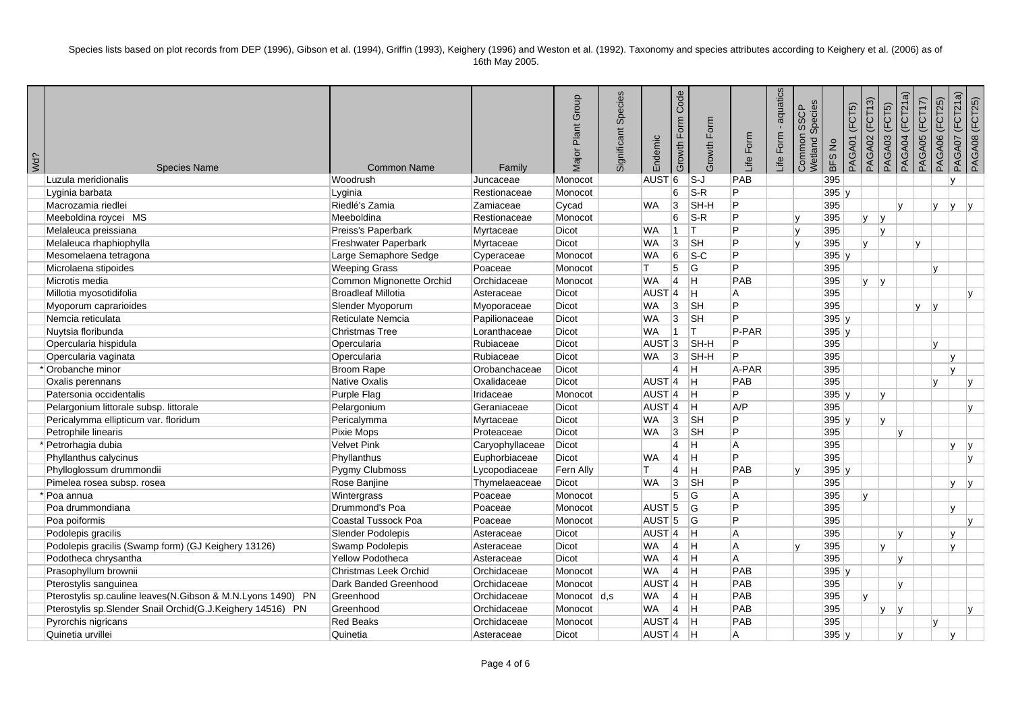| Wd? | <b>Species Name</b>                                         | <b>Common Name</b>         | Family          | Major Plant Group | Significant Species | Endemic             | Code<br>Growth Form | Growth Form               | Life Form      | aquatics<br>Form<br>Life | Common SSCP<br>Wetland Species<br>SSCP | BFS No | PAGA01 (FCT5) | PAGA02 (FCT13) | PAGA03 (FCT5)  | PAGA04 (FCT21a) | PAGA05 (FCT17)  | PAGA07 (FCT21a)<br>PAGA06 (FCT25) | PAGA08 (FCT25)          |
|-----|-------------------------------------------------------------|----------------------------|-----------------|-------------------|---------------------|---------------------|---------------------|---------------------------|----------------|--------------------------|----------------------------------------|--------|---------------|----------------|----------------|-----------------|-----------------|-----------------------------------|-------------------------|
|     | Luzula meridionalis                                         | Woodrush                   | Juncaceae       | Monocot           |                     | <b>AUST</b>         | 6                   | $ S-J $                   | PAB            |                          |                                        | 395    |               |                |                |                 |                 | $\mathsf{v}$                      |                         |
|     | Lyginia barbata                                             | Lyginia                    | Restionaceae    | Monocot           |                     |                     | 6                   | $S-R$                     | P              |                          |                                        | 395 y  |               |                |                |                 |                 |                                   |                         |
|     | Macrozamia riedlei                                          | Riedlé's Zamia             | Zamiaceae       | Cycad             |                     | <b>WA</b>           | 3                   | SH-H                      | P              |                          |                                        | 395    |               |                |                | Iv.             | <b>v</b>        | lv.                               | $\mathsf{V}$            |
|     | Meeboldina roycei MS                                        | Meeboldina                 | Restionaceae    | Monocot           |                     |                     | 6                   | $S-R$                     | P              |                          | lv.                                    | 395    |               | lv.<br>IV.     |                |                 |                 |                                   |                         |
|     | Melaleuca preissiana                                        | Preiss's Paperbark         | Myrtaceae       | <b>Dicot</b>      |                     | <b>WA</b>           | 11.                 | IT.                       | P              |                          | ۱v                                     | 395    |               |                | v              |                 |                 |                                   |                         |
|     | Melaleuca rhaphiophylla                                     | Freshwater Paperbark       | Myrtaceae       | <b>Dicot</b>      |                     | <b>WA</b>           | 3                   | <b>SH</b>                 | P              |                          | <sup>V</sup>                           | 395    | lv.           |                |                |                 | IV.             |                                   |                         |
|     | Mesomelaena tetragona                                       | Large Semaphore Sedge      | Cyperaceae      | Monocot           |                     | <b>WA</b>           | 6                   | $\overline{\text{S-C}}$   | P              |                          |                                        | 395 y  |               |                |                |                 |                 |                                   |                         |
|     | Microlaena stipoides                                        | <b>Weeping Grass</b>       | Poaceae         | Monocot           |                     | T.                  | 5                   | lG.                       | P              |                          |                                        | 395    |               |                |                |                 | v               |                                   |                         |
|     | Microtis media                                              | Common Mignonette Orchid   | Orchidaceae     | Monocot           |                     | <b>WA</b>           | $\vert 4 \vert$     | ΙH                        | PAB            |                          |                                        | 395    |               | lv.<br>lv.     |                |                 |                 |                                   |                         |
|     | Millotia myosotidifolia                                     | <b>Broadleaf Millotia</b>  | Asteraceae      | Dicot             |                     | AUST <sup>4</sup>   |                     | lн                        | A              |                          |                                        | 395    |               |                |                |                 |                 |                                   | lv.                     |
|     | Myoporum caprarioides                                       | Slender Myoporum           | Myoporaceae     | Dicot             |                     | WA                  | 3                   | SH                        | P              |                          |                                        | 395    |               |                |                |                 | lv.<br><b>V</b> |                                   |                         |
|     | Nemcia reticulata                                           | Reticulate Nemcia          | Papilionaceae   | Dicot             |                     | <b>WA</b>           | 3                   | <b>SH</b>                 | P              |                          |                                        | 395 y  |               |                |                |                 |                 |                                   |                         |
|     | Nuytsia floribunda                                          | <b>Christmas Tree</b>      | Loranthaceae    | Dicot             |                     | <b>WA</b>           | $\vert$ 1           | İΤ                        | P-PAR          |                          |                                        | 395 y  |               |                |                |                 |                 |                                   |                         |
|     | Opercularia hispidula                                       | Opercularia                | Rubiaceae       | Dicot             |                     | AUST <sub>3</sub>   |                     | SH-H                      | P              |                          |                                        | 395    |               |                |                |                 | v               |                                   |                         |
|     | Opercularia vaginata                                        | Opercularia                | Rubiaceae       | <b>Dicot</b>      |                     | <b>WA</b>           | 3                   | SH-H                      | P              |                          |                                        | 395    |               |                |                |                 |                 | v                                 |                         |
|     | *Orobanche minor                                            | <b>Broom Rape</b>          | Orobanchaceae   | Dicot             |                     |                     | $\overline{4}$      | lн                        | A-PAR          |                          |                                        | 395    |               |                |                |                 |                 | V                                 |                         |
|     | Oxalis perennans                                            | Native Oxalis              | Oxalidaceae     | Dicot             |                     | $AUST$ <sup>4</sup> |                     | Iн.                       | PAB            |                          |                                        | 395    |               |                |                |                 | v               |                                   | lv.                     |
|     | Patersonia occidentalis                                     | Purple Flag                | Iridaceae       | Monocot           |                     | $AUST$ <sup>4</sup> |                     | ΙH                        | P              |                          |                                        | 395 y  |               |                | V              |                 |                 |                                   |                         |
|     | Pelargonium littorale subsp. littorale                      | Pelargonium                | Geraniaceae     | Dicot             |                     | AUST <sup>4</sup>   |                     | lH.                       | AYP            |                          |                                        | 395    |               |                |                |                 |                 |                                   | lv.                     |
|     | Pericalymma ellipticum var. floridum                        | Pericalymma                | Myrtaceae       | Dicot             |                     | <b>WA</b>           | 3                   | <b>SH</b>                 | $\overline{P}$ |                          |                                        | 395 y  |               |                | v              |                 |                 |                                   |                         |
|     | Petrophile linearis                                         | Pixie Mops                 | Proteaceae      | <b>Dicot</b>      |                     | <b>WA</b>           | 3                   | $\overline{\mathsf{S}}$ H | P              |                          |                                        | 395    |               |                |                | IV.             |                 |                                   |                         |
|     | * Petrorhagia dubia                                         | <b>Velvet Pink</b>         | Caryophyllaceae | Dicot             |                     |                     | $\overline{4}$      | Iн.                       | A              |                          |                                        | 395    |               |                |                |                 |                 | v                                 | v                       |
|     | Phyllanthus calycinus                                       | Phyllanthus                | Euphorbiaceae   | Dicot             |                     | <b>WA</b>           | $\vert 4 \vert$     | ΙH                        | Þ              |                          |                                        | 395    |               |                |                |                 |                 |                                   | $\mathsf{v}$            |
|     | Phylloglossum drummondii                                    | Pygmy Clubmoss             | Lycopodiaceae   | Fern Ally         |                     | т                   | $\overline{4}$      | lн.                       | PAB            |                          | <sup>V</sup>                           | 395 y  |               |                |                |                 |                 |                                   |                         |
|     | Pimelea rosea subsp. rosea                                  | Rose Banjine               | Thymelaeaceae   | <b>Dicot</b>      |                     | <b>WA</b>           | 3                   | <b>SH</b>                 | P              |                          |                                        | 395    |               |                |                |                 |                 | v                                 | $\mathsf{I} \mathsf{v}$ |
|     | * Poa annua                                                 | Wintergrass                | Poaceae         | Monocot           |                     |                     | 5                   | G                         | A              |                          |                                        | 395    | lv.           |                |                |                 |                 |                                   |                         |
|     | Poa drummondiana                                            | Drummond's Poa             | Poaceae         | Monocot           |                     | AUST <sub>5</sub>   |                     | lG.                       | P              |                          |                                        | 395    |               |                |                |                 |                 | $\mathsf{v}$                      |                         |
|     | Poa poiformis                                               | <b>Coastal Tussock Poa</b> | Poaceae         | Monocot           |                     | $AUST$ 5            |                     | lG.                       | P              |                          |                                        | 395    |               |                |                |                 |                 |                                   |                         |
|     | Podolepis gracilis                                          | Slender Podolepis          | Asteraceae      | Dicot             |                     | AUST <sub>4</sub>   |                     | ΙH                        | A              |                          |                                        | 395    |               |                |                | $\mathbf{v}$    |                 | $\mathbf{v}$                      |                         |
|     | Podolepis gracilis (Swamp form) (GJ Keighery 13126)         | Swamp Podolepis            | Asteraceae      | Dicot             |                     | WA                  | 4                   | lн.                       | A              |                          |                                        | 395    |               |                | $\mathbf{v}$   |                 |                 | v                                 |                         |
|     | Podotheca chrysantha                                        | <b>Yellow Podotheca</b>    | Asteraceae      | <b>Dicot</b>      |                     | <b>WA</b>           | $\vert 4 \vert$     | Iн.                       | A              |                          |                                        | 395    |               |                |                | lv.             |                 |                                   |                         |
|     | Prasophyllum brownii                                        | Christmas Leek Orchid      | Orchidaceae     | Monocot           |                     | <b>WA</b>           | $ 4 $ H             |                           | PAB            |                          |                                        | 395 y  |               |                |                |                 |                 |                                   |                         |
|     | Pterostylis sanguinea                                       | Dark Banded Greenhood      | Orchidaceae     | Monocot           |                     | AUST <sup>4</sup>   |                     | Iн.                       | PAB            |                          |                                        | 395    |               |                |                | Iv.             |                 |                                   |                         |
|     | Pterostylis sp.cauline leaves(N.Gibson & M.N.Lyons 1490) PN | Greenhood                  | Orchidaceae     | Monocot d,s       |                     | <b>WA</b>           | $\vert$ 4           | lн                        | PAB            |                          |                                        | 395    | lv.           |                |                |                 |                 |                                   |                         |
|     | Pterostylis sp. Slender Snail Orchid(G.J.Keighery 14516) PN | Greenhood                  | Orchidaceae     | Monocot           |                     | <b>WA</b>           | $\vert 4 \vert$     | Iн.                       | PAB            |                          |                                        | 395    |               |                | <b>V</b><br> V |                 |                 |                                   | lv.                     |
|     | Pyrorchis nigricans                                         | <b>Red Beaks</b>           | Orchidaceae     | Monocot           |                     | $AUST$ <sup>4</sup> |                     | Iн.                       | PAB            |                          |                                        | 395    |               |                |                |                 | v               |                                   |                         |
|     | Quinetia urvillei                                           | Quinetia                   | Asteraceae      | Dicot             |                     | $AUST$ 4            |                     | lн                        | A              |                          |                                        | 395 v  |               |                |                | Iv.             |                 |                                   |                         |
|     |                                                             |                            |                 |                   |                     |                     |                     |                           |                |                          |                                        |        |               |                |                |                 |                 |                                   |                         |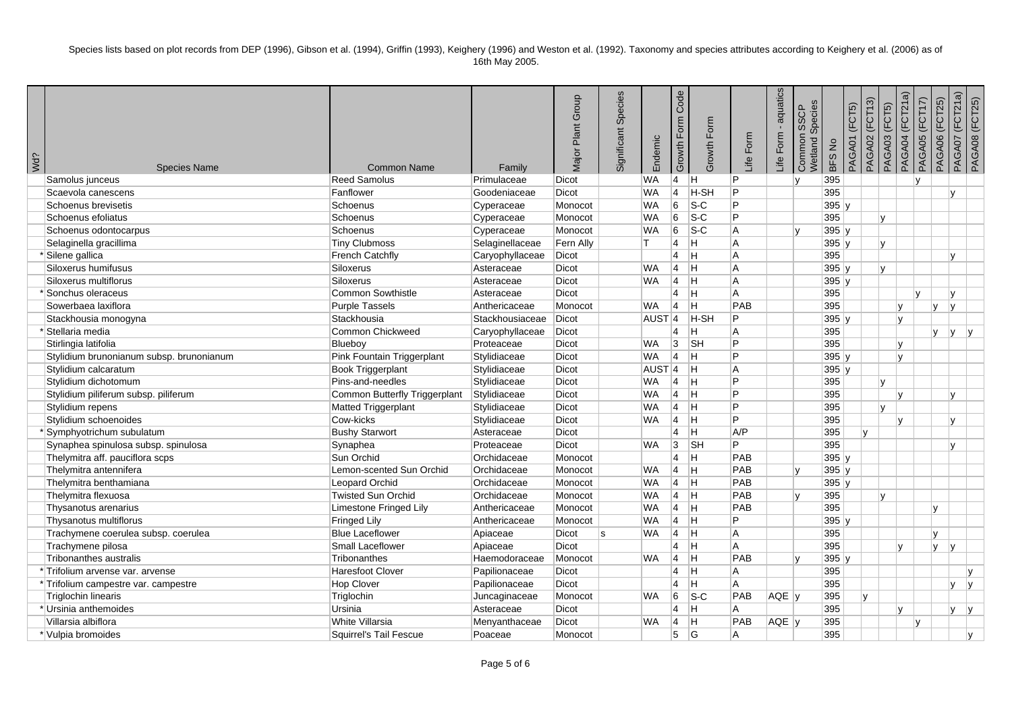| Wd? | <b>Species Name</b>                      | <b>Common Name</b>            | Family          | Major Plant Group | Significant Species | Endemic           | Code<br>Growth Form | Growth Form               | Life Form  | aquatics<br>Form<br>Life | Species<br><b>SSCP</b><br>Common:<br>Wetland S | BFS No | PAGA01 (FCT5) | PAGA02 (FCT13) | (FCT5)<br>PAGA03 | PAGA04 (FCT21a) | PAGA05 (FCT17) | PAGA07 (FCT21a)<br>PAGA06 (FCT25) | PAGA08 (FCT25) |  |
|-----|------------------------------------------|-------------------------------|-----------------|-------------------|---------------------|-------------------|---------------------|---------------------------|------------|--------------------------|------------------------------------------------|--------|---------------|----------------|------------------|-----------------|----------------|-----------------------------------|----------------|--|
|     | Samolus junceus                          | <b>Reed Samolus</b>           | Primulaceae     | <b>Dicot</b>      |                     | <b>WA</b>         | $\vert 4 \vert$     | IН.                       | P          |                          | $\mathbf{v}$                                   | 395    |               |                |                  |                 |                |                                   |                |  |
|     | Scaevola canescens                       | Fanflower                     | Goodeniaceae    | <b>Dicot</b>      |                     | <b>WA</b>         | 14                  | H-SH                      | P          |                          |                                                | 395    |               |                |                  |                 |                | v                                 |                |  |
|     | Schoenus brevisetis                      | Schoenus                      | Cyperaceae      | Monocot           |                     | <b>WA</b>         | 6                   | $ S-C $                   | P          |                          |                                                | 395 y  |               |                |                  |                 |                |                                   |                |  |
|     | Schoenus efoliatus                       | Schoenus                      | Cyperaceae      | Monocot           |                     | <b>WA</b>         | 6                   | $\overline{\text{S-C}}$   | P          |                          |                                                | 395    |               |                | V                |                 |                |                                   |                |  |
|     | Schoenus odontocarpus                    | Schoenus                      | Cyperaceae      | Monocot           |                     | <b>WA</b>         | 6                   | $s-c$                     | A          |                          | lv.                                            | 395 y  |               |                |                  |                 |                |                                   |                |  |
|     | Selaginella gracillima                   | <b>Tiny Clubmoss</b>          | Selaginellaceae | Fern Ally         |                     | т                 | 14                  | lH.                       | A          |                          |                                                | 395 y  |               |                | V                |                 |                |                                   |                |  |
|     | *Silene gallica                          | <b>French Catchfly</b>        | Caryophyllaceae | <b>Dicot</b>      |                     |                   | $\vert 4 \vert$     | ΙH                        | A          |                          |                                                | 395    |               |                |                  |                 |                | $\mathsf{v}$                      |                |  |
|     | Siloxerus humifusus                      | <b>Siloxerus</b>              | Asteraceae      | <b>Dicot</b>      |                     | <b>WA</b>         | $\overline{4}$      | Iн.                       | A          |                          |                                                | 395 y  |               |                | v                |                 |                |                                   |                |  |
|     | Siloxerus multiflorus                    | <b>Siloxerus</b>              | Asteraceae      | <b>Dicot</b>      |                     | <b>WA</b>         | $\vert 4 \vert$     | lн.                       | A          |                          |                                                | 395y   |               |                |                  |                 |                |                                   |                |  |
|     | * Sonchus oleraceus                      | Common Sowthistle             | Asteraceae      | Dicot             |                     |                   | $\overline{4}$      | ΙH                        | A          |                          |                                                | 395    |               |                |                  | $\mathbf{v}$    |                | v                                 |                |  |
|     | Sowerbaea laxiflora                      | <b>Purple Tassels</b>         | Anthericaceae   | Monocot           |                     | <b>WA</b>         | 14                  | lH.                       | PAB        |                          |                                                | 395    |               |                |                  | IV.             | V              | lv.                               |                |  |
|     | Stackhousia monogyna                     | Stackhousia                   | Stackhousiaceae | <b>Dicot</b>      |                     | AUST <sup>4</sup> |                     | <b>H-SH</b>               | P          |                          |                                                | 395y   |               |                |                  | lv.             |                |                                   |                |  |
|     | *Stellaria media                         | Common Chickweed              | Caryophyllaceae | Dicot             |                     |                   | $\overline{4}$      | ΙH                        | A          |                          |                                                | 395    |               |                |                  |                 | v              | ly.                               | V              |  |
|     | Stirlingia latifolia                     | Blueboy                       | Proteaceae      | <b>Dicot</b>      |                     | <b>WA</b>         | $ 3\rangle$         | $\overline{\mathsf{S}}$ H | P          |                          |                                                | 395    |               |                |                  | lv.             |                |                                   |                |  |
|     | Stylidium brunonianum subsp. brunonianum | Pink Fountain Triggerplant    | Stylidiaceae    | <b>Dicot</b>      |                     | <b>WA</b>         | 14                  | Iн.                       | P          |                          |                                                | 395 y  |               |                |                  | Iv.             |                |                                   |                |  |
|     | Stylidium calcaratum                     | <b>Book Triggerplant</b>      | Stylidiaceae    | Dicot             |                     | AUST <sup>4</sup> |                     | Iн.                       | A          |                          |                                                | 395 y  |               |                |                  |                 |                |                                   |                |  |
|     | Stylidium dichotomum                     | Pins-and-needles              | Stylidiaceae    | <b>Dicot</b>      |                     | <b>WA</b>         | $\vert$ 4           | Iн.                       | P          |                          |                                                | 395    |               |                | v                |                 |                |                                   |                |  |
|     | Stylidium piliferum subsp. piliferum     | Common Butterfly Triggerplant | Stylidiaceae    | Dicot             |                     | <b>WA</b>         | ∣4                  | -lh                       | P          |                          |                                                | 395    |               |                |                  | Iv.             |                | v                                 |                |  |
|     | Stylidium repens                         | Matted Triggerplant           | Stylidiaceae    | Dicot             |                     | <b>WA</b>         | $\vert 4 \vert$     | Iн.                       | P          |                          |                                                | 395    |               |                | $\mathsf{v}$     |                 |                |                                   |                |  |
|     | Stylidium schoenoides                    | Cow-kicks                     | Stylidiaceae    | <b>Dicot</b>      |                     | <b>WA</b>         | $\vert$ 4           | $\overline{\mathsf{H}}$   | P          |                          |                                                | 395    |               |                |                  | Iv.             |                | $\mathsf{v}$                      |                |  |
|     | *Symphyotrichum subulatum                | <b>Bushy Starwort</b>         | Asteraceae      | <b>Dicot</b>      |                     |                   | $\overline{4}$      | ΙH                        | A/P        |                          |                                                | 395    |               | lv.            |                  |                 |                |                                   |                |  |
|     | Synaphea spinulosa subsp. spinulosa      | Synaphea                      | Proteaceae      | Dicot             |                     | <b>WA</b>         | 3                   | <b>SH</b>                 | P          |                          |                                                | 395    |               |                |                  |                 |                | $\mathbf{v}$                      |                |  |
|     | Thelymitra aff. pauciflora scps          | Sun Orchid                    | Orchidaceae     | Monocot           |                     |                   | $\overline{4}$      | ΙH                        | PAB        |                          |                                                | 395 y  |               |                |                  |                 |                |                                   |                |  |
|     | Thelymitra antennifera                   | Lemon-scented Sun Orchid      | Orchidaceae     | Monocot           |                     | <b>WA</b>         | $\vert 4 \vert$     | Iн.                       | PAB        |                          | lv                                             | 395y   |               |                |                  |                 |                |                                   |                |  |
|     | Thelymitra benthamiana                   | Leopard Orchid                | Orchidaceae     | Monocot           |                     | <b>WA</b>         | ∣4                  | -lh                       | PAB        |                          |                                                | 395y   |               |                |                  |                 |                |                                   |                |  |
|     | Thelymitra flexuosa                      | <b>Twisted Sun Orchid</b>     | Orchidaceae     | Monocot           |                     | <b>WA</b>         | $\vert$ 4           | Iн.                       | PAB        |                          |                                                | 395    |               |                | v                |                 |                |                                   |                |  |
|     | Thysanotus arenarius                     | Limestone Fringed Lily        | Anthericaceae   | Monocot           |                     | <b>WA</b>         | $\vert$ 4           | $\overline{H}$            | PAB        |                          |                                                | 395    |               |                |                  |                 | $\mathsf{v}$   |                                   |                |  |
|     | Thysanotus multiflorus                   | <b>Fringed Lily</b>           | Anthericaceae   | Monocot           |                     | <b>WA</b>         | $\vert 4 \vert$     | -lh                       | P          |                          |                                                | 395y   |               |                |                  |                 |                |                                   |                |  |
|     | Trachymene coerulea subsp. coerulea      | <b>Blue Laceflower</b>        | Apiaceae        | <b>Dicot</b>      | ls                  | <b>WA</b>         | 14                  | ΙH                        | A          |                          |                                                | 395    |               |                |                  |                 | v              |                                   |                |  |
|     | Trachymene pilosa                        | Small Laceflower              | Apiaceae        | Dicot             |                     |                   | $\overline{4}$      | Iн.                       | Α          |                          |                                                | 395    |               |                |                  | $\mathsf{v}$    | <b>V</b>       | <b>v</b>                          |                |  |
|     | <b>Tribonanthes australis</b>            | Tribonanthes                  | Haemodoraceae   | Monocot           |                     | <b>WA</b>         | $\vert 4 \vert$     | lн.                       | <b>PAB</b> |                          | $\mathbf{v}$                                   | 395y   |               |                |                  |                 |                |                                   |                |  |
|     | *Trifolium arvense var. arvense          | <b>Haresfoot Clover</b>       | Papilionaceae   | <b>Dicot</b>      |                     |                   | $\overline{4}$      | ΙH                        | Α          |                          |                                                | 395    |               |                |                  |                 |                |                                   | $\mathbf{v}$   |  |
|     | *Trifolium campestre var. campestre      | Hop Clover                    | Papilionaceae   | Dicot             |                     |                   | $\overline{4}$      | H                         | A          |                          |                                                | 395    |               |                |                  |                 |                | v                                 | Iv.            |  |
|     | Triglochin linearis                      | Triglochin                    | Juncaginaceae   | Monocot           |                     | <b>WA</b>         | 6                   | $ S-C $                   | PAB        | AQE y                    |                                                | 395    |               | lv.            |                  |                 |                |                                   |                |  |
|     | *Ursinia anthemoides                     | Ursinia                       | Asteraceae      | Dicot             |                     |                   | $\overline{4}$      | ΙH                        | A          |                          |                                                | 395    |               |                |                  | IV.             |                | v                                 | V              |  |
|     | Villarsia albiflora                      | White Villarsia               | Menyanthaceae   | <b>Dicot</b>      |                     | <b>WA</b>         | $\vert$ 4           | lн.                       | PAB        | AQE y                    |                                                | 395    |               |                |                  | v               |                |                                   |                |  |
|     | * Vulpia bromoides                       | Squirrel's Tail Fescue        | Poaceae         | Monocot           |                     |                   | 5                   | ۱G                        | A          |                          |                                                | 395    |               |                |                  |                 |                |                                   |                |  |